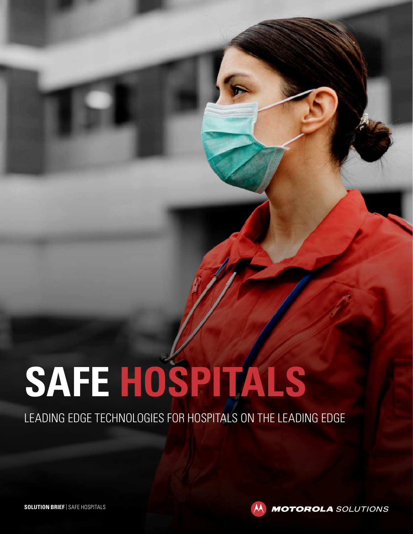# **SAFE HOSPITALS**

LEADING EDGE TECHNOLOGIES FOR HOSPITALS ON THE LEADING EDGE



**MOTOROLA** SOLUTIONS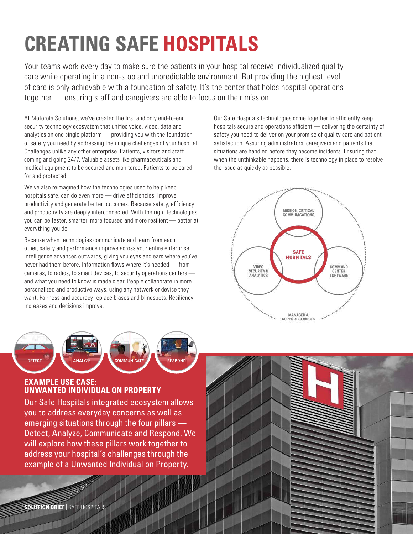# **CREATING SAFE HOSPITALS**

Your teams work every day to make sure the patients in your hospital receive individualized quality care while operating in a non-stop and unpredictable environment. But providing the highest level of care is only achievable with a foundation of safety. It's the center that holds hospital operations together — ensuring staff and caregivers are able to focus on their mission.

At Motorola Solutions, we've created the first and only end-to-end security technology ecosystem that unifies voice, video, data and analytics on one single platform — providing you with the foundation of safety you need by addressing the unique challenges of your hospital. Challenges unlike any other enterprise. Patients, visitors and staff coming and going 24/7. Valuable assets like pharmaceuticals and medical equipment to be secured and monitored. Patients to be cared for and protected.

We've also reimagined how the technologies used to help keep hospitals safe, can do even more — drive efficiencies, improve productivity and generate better outcomes. Because safety, efficiency and productivity are deeply interconnected. With the right technologies, you can be faster, smarter, more focused and more resilient — better at everything you do.

Because when technologies communicate and learn from each other, safety and performance improve across your entire enterprise. Intelligence advances outwards, giving you eyes and ears where you've never had them before. Information flows where it's needed — from cameras, to radios, to smart devices, to security operations centers and what you need to know is made clear. People collaborate in more personalized and productive ways, using any network or device they want. Fairness and accuracy replace biases and blindspots. Resiliency increases and decisions improve.



#### **EXAMPLE USE CASE: UNWANTED INDIVIDUAL ON PROPERTY**

Our Safe Hospitals integrated ecosystem allows you to address everyday concerns as well as emerging situations through the four pillars — Detect, Analyze, Communicate and Respond. We will explore how these pillars work together to address your hospital's challenges through the example of a Unwanted Individual on Property.

**All** 

Our Safe Hospitals technologies come together to efficiently keep hospitals secure and operations efficient — delivering the certainty of safety you need to deliver on your promise of quality care and patient satisfaction. Assuring administrators, caregivers and patients that situations are handled before they become incidents. Ensuring that when the unthinkable happens, there is technology in place to resolve the issue as quickly as possible.



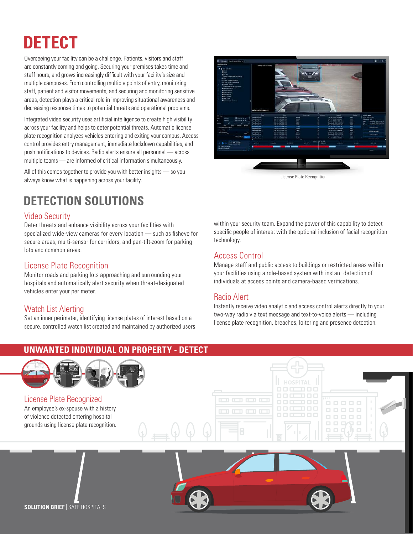# **DETECT**

Overseeing your facility can be a challenge. Patients, visitors and staff are constantly coming and going. Securing your premises takes time and staff hours, and grows increasingly difficult with your facility's size and multiple campuses. From controlling multiple points of entry, monitoring staff, patient and visitor movements, and securing and monitoring sensitive areas, detection plays a critical role in improving situational awareness and decreasing response times to potential threats and operational problems.

Integrated video security uses artificial intelligence to create high visibility across your facility and helps to deter potential threats. Automatic license plate recognition analyzes vehicles entering and exiting your campus. Access control provides entry management, immediate lockdown capabilities, and push notifications to devices. Radio alerts ensure all personnel — across multiple teams — are informed of critical information simultaneously.

All of this comes together to provide you with better insights — so you always know what is happening across your facility.

## **DETECTION SOLUTIONS**

## Video Security

Deter threats and enhance visibility across your facilities with specialized wide-view cameras for every location — such as fisheye for secure areas, multi-sensor for corridors, and pan-tilt-zoom for parking lots and common areas.

#### License Plate Recognition

Monitor roads and parking lots approaching and surrounding your hospitals and automatically alert security when threat-designated vehicles enter your perimeter.

## Watch List Alerting

Set an inner perimeter, identifying license plates of interest based on a secure, controlled watch list created and maintained by authorized users



within your security team. Expand the power of this capability to detect specific people of interest with the optional inclusion of facial recognition technology.

## Access Control

Manage staff and public access to buildings or restricted areas within your facilities using a role-based system with instant detection of individuals at access points and camera-based verifications.

#### Radio Alert

Instantly receive video analytic and access control alerts directly to your two-way radio via text message and text-to-voice alerts — including license plate recognition, breaches, loitering and presence detection.

## **UNWANTED INDIVIDUAL ON PROPERTY - DETECT** License Plate Recognized <u>is is is i</u>n  $\Box \Box \Box \Box$ An employee's ex-spouse with a history . . . . **TELE**  $\mathbf{m}$  and  $\mathbf{m}$ of violence detected entering hospital grounds using license plate recognition. **SOLUTION BRIEF** | SAFE HOSPITALS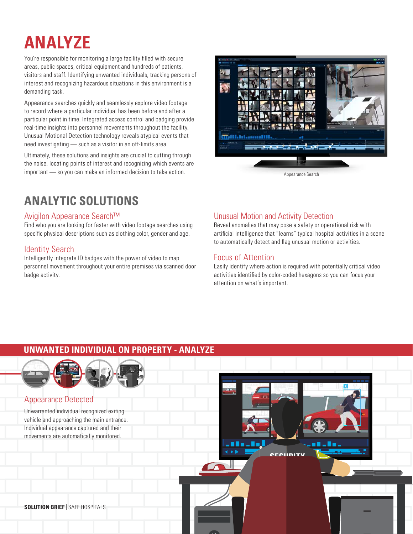# **ANALYZE**

You're responsible for monitoring a large facility filled with secure areas, public spaces, critical equipment and hundreds of patients, visitors and staff. Identifying unwanted individuals, tracking persons of interest and recognizing hazardous situations in this environment is a demanding task.

Appearance searches quickly and seamlessly explore video footage to record where a particular individual has been before and after a particular point in time. Integrated access control and badging provide real-time insights into personnel movements throughout the facility. Unusual Motional Detection technology reveals atypical events that need investigating — such as a visitor in an off-limits area.

Ultimately, these solutions and insights are crucial to cutting through the noise, locating points of interest and recognizing which events are important — so you can make an informed decision to take action. Appearance Search

## **ANALYTIC SOLUTIONS**

## Avigilon Appearance Search™

Find who you are looking for faster with video footage searches using specific physical descriptions such as clothing color, gender and age.

## Identity Search

Intelligently integrate ID badges with the power of video to map personnel movement throughout your entire premises via scanned door badge activity.



## Unusual Motion and Activity Detection

Reveal anomalies that may pose a safety or operational risk with artificial intelligence that "learns" typical hospital activities in a scene to automatically detect and flag unusual motion or activities.

## Focus of Attention

Easily identify where action is required with potentially critical video activities identified by color-coded hexagons so you can focus your attention on what's important.

## **UNWANTED INDIVIDUAL ON PROPERTY - ANALYZE**



## Appearance Detected

Unwarranted individual recognized exiting vehicle and approaching the main entrance. Individual appearance captured and their movements are automatically monitored.



**SOLUTION BRIEF** | SAFE HOSPITALS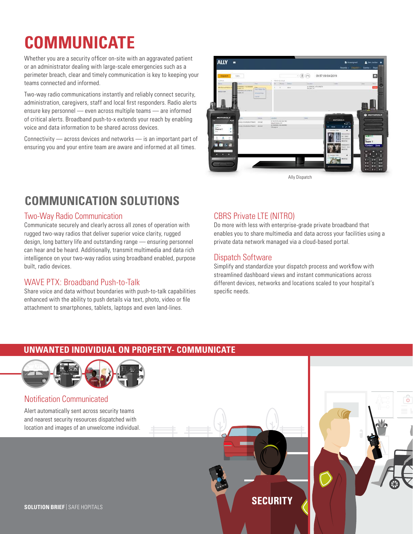# **COMMUNICATE**

Whether you are a security officer on-site with an aggravated patient or an administrator dealing with large-scale emergencies such as a perimeter breach, clear and timely communication is key to keeping your teams connected and informed.

Two-way radio communications instantly and reliably connect security, administration, caregivers, staff and local first responders. Radio alerts ensure key personnel — even across multiple teams — are informed of critical alerts. Broadband push-to-x extends your reach by enabling voice and data information to be shared across devices.

Connectivity — across devices and networks — is an important part of ensuring you and your entire team are aware and informed at all times.



Ally Dispatch

## **COMMUNICATION SOLUTIONS**

## Two-Way Radio Communication

Communicate securely and clearly across all zones of operation with rugged two-way radios that deliver superior voice clarity, rugged design, long battery life and outstanding range — ensuring personnel can hear and be heard. Additionally, transmit multimedia and data rich intelligence on your two-way radios using broadband enabled, purpose built, radio devices.

## WAVE PTX: Broadband Push-to-Talk

Share voice and data without boundaries with push-to-talk capabilities enhanced with the ability to push details via text, photo, video or file attachment to smartphones, tablets, laptops and even land-lines.

## CBRS Private LTE (NITRO)

Do more with less with enterprise-grade private broadband that enables you to share multimedia and data across your facilities using a private data network managed via a cloud-based portal.

## Dispatch Software

Simplify and standardize your dispatch process and workflow with streamlined dashboard views and instant communications across different devices, networks and locations scaled to your hospital's specific needs.

## **UNWANTED INDIVIDUAL ON PROPERTY- COMMUNICATE**



## Notification Communicated

Alert automatically sent across security teams and nearest security resources dispatched with location and images of an unwelcome individual.



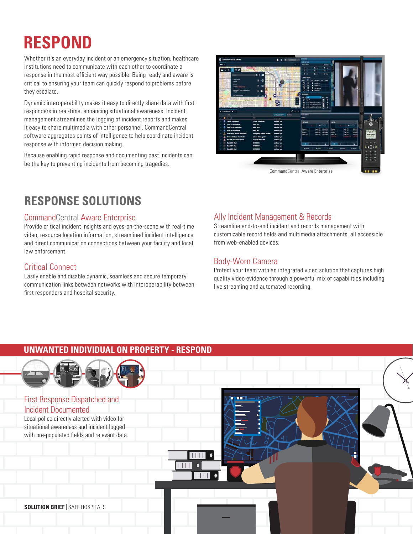# **RESPOND**

Whether it's an everyday incident or an emergency situation, healthcare institutions need to communicate with each other to coordinate a response in the most efficient way possible. Being ready and aware is critical to ensuring your team can quickly respond to problems before they escalate.

Dynamic interoperability makes it easy to directly share data with first responders in real-time, enhancing situational awareness. Incident management streamlines the logging of incident reports and makes it easy to share multimedia with other personnel. CommandCentral software aggregates points of intelligence to help coordinate incident response with informed decision making.

Because enabling rapid response and documenting past incidents can be the key to preventing incidents from becoming tragedies.



## **RESPONSE SOLUTIONS**

#### CommandCentral Aware Enterprise

Provide critical incident insights and eyes-on-the-scene with real-time video, resource location information, streamlined incident intelligence and direct communication connections between your facility and local law enforcement.

#### Critical Connect

Easily enable and disable dynamic, seamless and secure temporary communication links between networks with interoperability between first responders and hospital security.

## Ally Incident Management & Records

Streamline end-to-end incident and records management with customizable record fields and multimedia attachments, all accessible from web-enabled devices.

## Body-Worn Camera

Protect your team with an integrated video solution that captures high quality video evidence through a powerful mix of capabilities including live streaming and automated recording.

## **UNWANTED INDIVIDUAL ON PROPERTY - RESPOND**

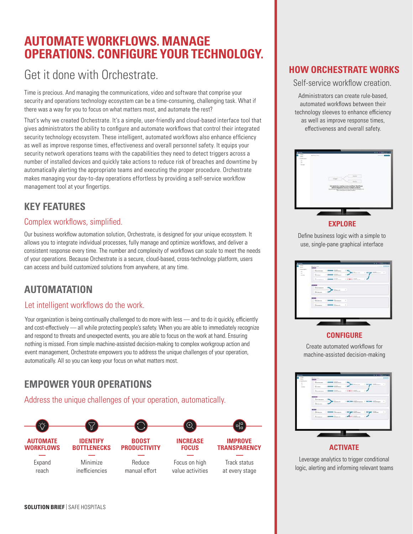## **AUTOMATE WORKFLOWS. MANAGE OPERATIONS. CONFIGURE YOUR TECHNOLOGY.**

## Get it done with Orchestrate.

Time is precious. And managing the communications, video and software that comprise your security and operations technology ecosystem can be a time-consuming, challenging task. What if there was a way for you to focus on what matters most, and automate the rest?

That's why we created Orchestrate. It's a simple, user-friendly and cloud-based interface tool that gives administrators the ability to configure and automate workflows that control their integrated security technology ecosystem. These intelligent, automated workflows also enhance efficiency as well as improve response times, effectiveness and overall personnel safety. It equips your security network operations teams with the capabilities they need to detect triggers across a number of installed devices and quickly take actions to reduce risk of breaches and downtime by automatically alerting the appropriate teams and executing the proper procedure. Orchestrate makes managing your day-to-day operations effortless by providing a self-service workflow management tool at your fingertips.

## **KEY FEATURES**

## Complex workflows, simplified.

Our business workflow automation solution, Orchestrate, is designed for your unique ecosystem. It allows you to integrate individual processes, fully manage and optimize workflows, and deliver a consistent response every time. The number and complexity of workflows can scale to meet the needs of your operations. Because Orchestrate is a secure, cloud-based, cross-technology platform, users can access and build customized solutions from anywhere, at any time.

## **AUTOMATATION**

## Let intelligent workflows do the work.

Your organization is being continually challenged to do more with less - and to do it quickly, efficiently and cost-effectively — all while protecting people's safety. When you are able to immediately recognize and respond to threats and unexpected events, you are able to focus on the work at hand. Ensuring nothing is missed. From simple machine-assisted decision-making to complex workgroup action and event management, Orchestrate empowers you to address the unique challenges of your operation, automatically. All so you can keep your focus on what matters most.

## **EMPOWER YOUR OPERATIONS**

Address the unique challenges of your operation, automatically.



## **HOW ORCHESTRATE WORKS**

#### Self-service workflow creation.

Administrators can create rule-based, automated workflows between their technology sleeves to enhance efficiency as well as improve response times, effectiveness and overall safety.



#### **EXPLORE**

Define business logic with a simple to use, single-pane graphical interface

| <b>HATCH</b><br>Gamma<br>Economic<br><b>Ellisian</b><br>-<br>Constant 1 March 1970 and 1 1980 Editors<br><b>Services</b><br>-10<br>Encore<br><b>Ernest</b><br><b>CONSTRUCT</b> |
|--------------------------------------------------------------------------------------------------------------------------------------------------------------------------------|
|                                                                                                                                                                                |
|                                                                                                                                                                                |
| Salesman<br>$\overline{a}$<br>Simon<br>52.78<br><b>Concert</b>                                                                                                                 |

#### **CONFIGURE**

Create automated workflows for machine-assisted decision-making



#### **ACTIVATE**

Leverage analytics to trigger conditional logic, alerting and informing relevant teams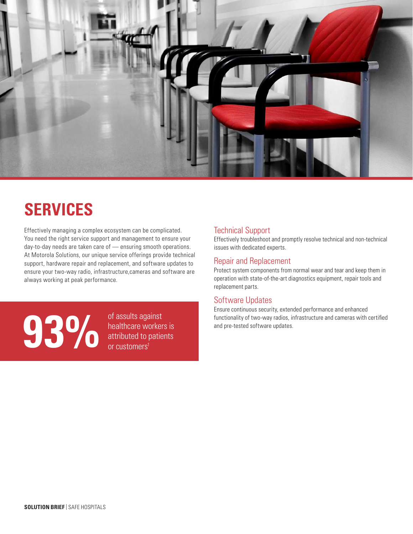

# **SERVICES**

Effectively managing a complex ecosystem can be complicated. You need the right service support and management to ensure your day-to-day needs are taken care of — ensuring smooth operations. At Motorola Solutions, our unique service offerings provide technical support, hardware repair and replacement, and software updates to ensure your two-way radio, infrastructure,cameras and software are always working at peak performance.

of assults against<br>functionality of two-way radios, in<br>and pre-tested software updates.<br>or customers<sup>1</sup>

healthcare workers is attributed to patients or customers<sup>1</sup>

## Technical Support

Effectively troubleshoot and promptly resolve technical and non-technical issues with dedicated experts.

## Repair and Replacement

Protect system components from normal wear and tear and keep them in operation with state-of-the-art diagnostics equipment, repair tools and replacement parts.

#### Software Updates

Ensure continuous security, extended performance and enhanced functionality of two-way radios, infrastructure and cameras with certified